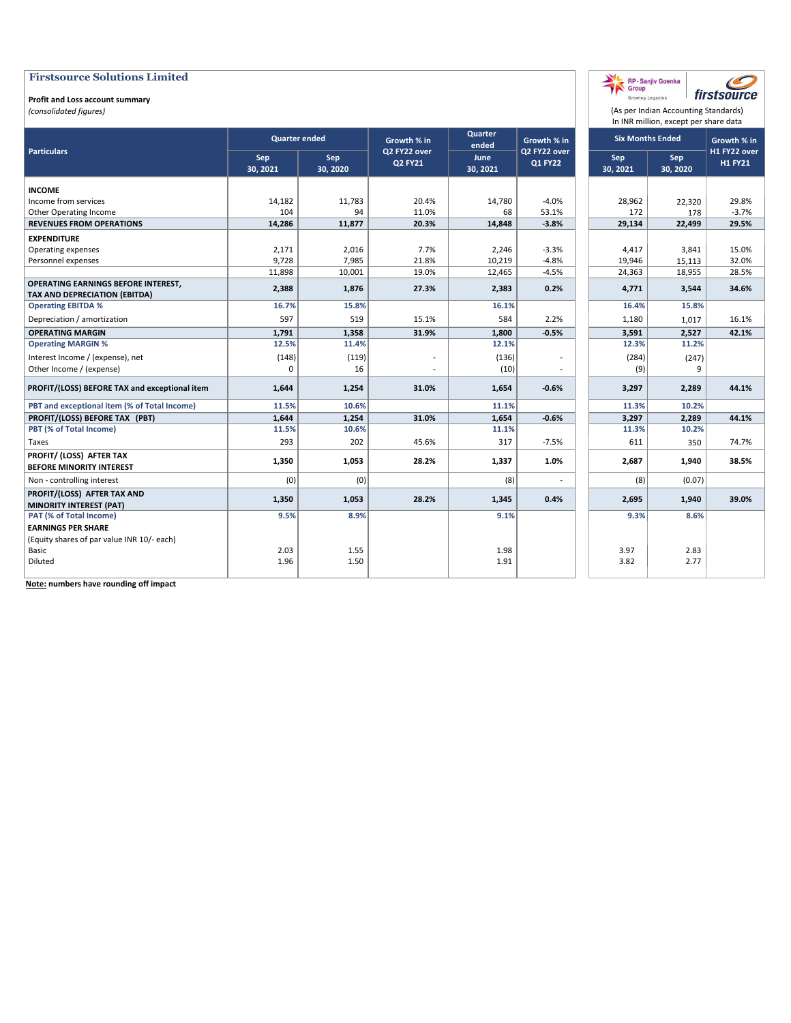#### **Profit and Loss account summary**

*(consolidated figures)*

|                                                             |                 |                      |                                |                  |                                |                 | In INR million, except per share data |                                |
|-------------------------------------------------------------|-----------------|----------------------|--------------------------------|------------------|--------------------------------|-----------------|---------------------------------------|--------------------------------|
|                                                             |                 | <b>Quarter ended</b> | Growth % in                    | Quarter<br>ended | Growth % in                    |                 | <b>Six Months Ended</b>               | Growth % in                    |
| <b>Particulars</b>                                          | Sep<br>30, 2021 | Sep<br>30, 2020      | Q2 FY22 over<br><b>Q2 FY21</b> | June<br>30, 2021 | Q2 FY22 over<br><b>Q1 FY22</b> | Sep<br>30, 2021 | Sep<br>30, 2020                       | H1 FY22 over<br><b>H1 FY21</b> |
| <b>INCOME</b>                                               |                 |                      |                                |                  |                                |                 |                                       |                                |
| Income from services                                        | 14,182          | 11,783               | 20.4%                          | 14,780           | $-4.0%$                        | 28,962          | 22,320                                | 29.8%                          |
| Other Operating Income                                      | 104             | 94                   | 11.0%                          | 68               | 53.1%                          | 172             | 178                                   | $-3.7%$                        |
| <b>REVENUES FROM OPERATIONS</b>                             | 14,286          | 11,877               | 20.3%                          | 14,848           | $-3.8%$                        | 29,134          | 22,499                                | 29.5%                          |
| <b>EXPENDITURE</b>                                          |                 |                      |                                |                  |                                |                 |                                       |                                |
| Operating expenses                                          | 2,171           | 2,016                | 7.7%                           | 2,246            | $-3.3%$                        | 4,417           | 3,841                                 | 15.0%                          |
| Personnel expenses                                          | 9,728           | 7,985                | 21.8%                          | 10,219           | $-4.8%$                        | 19,946          | 15,113                                | 32.0%                          |
|                                                             | 11,898          | 10,001               | 19.0%                          | 12,465           | $-4.5%$                        | 24,363          | 18,955                                | 28.5%                          |
| OPERATING EARNINGS BEFORE INTEREST,                         | 2,388           | 1,876                | 27.3%                          | 2,383            | 0.2%                           | 4,771           | 3,544                                 | 34.6%                          |
| <b>TAX AND DEPRECIATION (EBITDA)</b>                        |                 |                      |                                |                  |                                |                 |                                       |                                |
| <b>Operating EBITDA %</b>                                   | 16.7%           | 15.8%                |                                | 16.1%            |                                | 16.4%           | 15.8%                                 |                                |
| Depreciation / amortization                                 | 597             | 519                  | 15.1%                          | 584              | 2.2%                           | 1,180           | 1,017                                 | 16.1%                          |
| <b>OPERATING MARGIN</b>                                     | 1,791           | 1,358                | 31.9%                          | 1,800            | $-0.5%$                        | 3,591           | 2,527                                 | 42.1%                          |
| <b>Operating MARGIN %</b>                                   | 12.5%           | 11.4%                |                                | 12.1%            |                                | 12.3%           | 11.2%                                 |                                |
| Interest Income / (expense), net                            | (148)           | (119)                |                                | (136)            |                                | (284)           | (247)                                 |                                |
| Other Income / (expense)                                    | $\Omega$        | 16                   |                                | (10)             |                                | (9)             | 9                                     |                                |
| PROFIT/(LOSS) BEFORE TAX and exceptional item               | 1,644           | 1,254                | 31.0%                          | 1,654            | $-0.6%$                        | 3,297           | 2,289                                 | 44.1%                          |
| PBT and exceptional item (% of Total Income)                | 11.5%           | 10.6%                |                                | 11.1%            |                                | 11.3%           | 10.2%                                 |                                |
| PROFIT/(LOSS) BEFORE TAX (PBT)                              | 1,644           | 1,254                | 31.0%                          | 1,654            | $-0.6%$                        | 3,297           | 2,289                                 | 44.1%                          |
| PBT (% of Total Income)                                     | 11.5%           | 10.6%                |                                | 11.1%            |                                | 11.3%           | 10.2%                                 |                                |
| Taxes                                                       | 293             | 202                  | 45.6%                          | 317              | $-7.5%$                        | 611             | 350                                   | 74.7%                          |
| PROFIT/ (LOSS) AFTER TAX<br><b>BEFORE MINORITY INTEREST</b> | 1,350           | 1,053                | 28.2%                          | 1,337            | 1.0%                           | 2.687           | 1,940                                 | 38.5%                          |
| Non - controlling interest                                  | (0)             | (0)                  |                                | (8)              |                                | (8)             | (0.07)                                |                                |
| PROFIT/(LOSS) AFTER TAX AND                                 | 1,350           | 1,053                | 28.2%                          | 1,345            | 0.4%                           | 2,695           | 1,940                                 | 39.0%                          |
| <b>MINORITY INTEREST (PAT)</b>                              |                 |                      |                                |                  |                                |                 |                                       |                                |
| PAT (% of Total Income)                                     | 9.5%            | 8.9%                 |                                | 9.1%             |                                | 9.3%            | 8.6%                                  |                                |
| <b>EARNINGS PER SHARE</b>                                   |                 |                      |                                |                  |                                |                 |                                       |                                |
| (Equity shares of par value INR 10/- each)                  |                 |                      |                                |                  |                                |                 |                                       |                                |
| Basic                                                       | 2.03            | 1.55                 |                                | 1.98             |                                | 3.97            | 2.83                                  |                                |
| Diluted                                                     | 1.96            | 1.50                 |                                | 1.91             |                                | 3.82            | 2.77                                  |                                |
|                                                             |                 |                      |                                |                  |                                |                 |                                       |                                |

(As per Indian Accounting Standards)

C firstsource

RP - Sanjiv Goenka<br>Group<br>Growing Legacies

**Note: numbers have rounding off impact**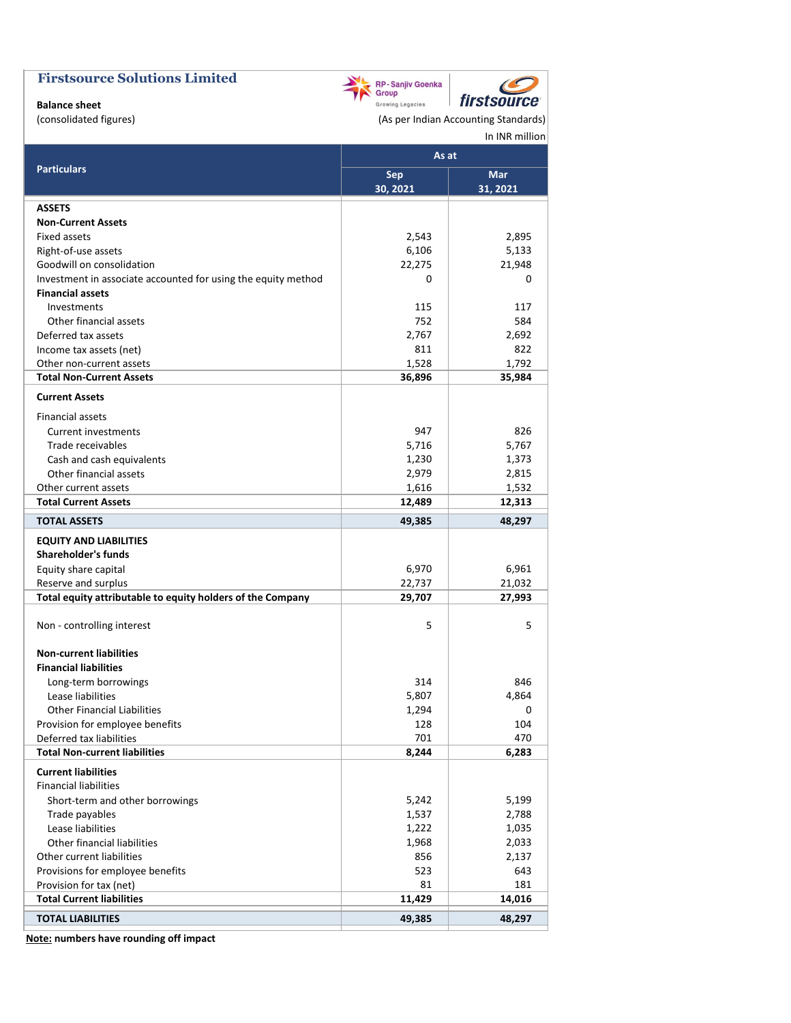

**Balance sheet**

(consolidated figures) and a consolidated figures) and a consolidated figures (As per Indian Accounting Standards) In INR million

 $\mathcal{C}$ 

|                                                               | As at      |          |
|---------------------------------------------------------------|------------|----------|
| <b>Particulars</b>                                            | <b>Sep</b> | Mar      |
|                                                               | 30, 2021   | 31, 2021 |
| <b>ASSETS</b>                                                 |            |          |
| <b>Non-Current Assets</b>                                     |            |          |
| Fixed assets                                                  | 2,543      | 2,895    |
| Right-of-use assets                                           | 6,106      | 5,133    |
| Goodwill on consolidation                                     | 22,275     | 21,948   |
| Investment in associate accounted for using the equity method | 0          | 0        |
| <b>Financial assets</b>                                       |            |          |
| Investments                                                   | 115        | 117      |
| Other financial assets                                        | 752        | 584      |
| Deferred tax assets                                           | 2,767      | 2,692    |
| Income tax assets (net)                                       | 811        | 822      |
| Other non-current assets                                      | 1,528      | 1,792    |
| <b>Total Non-Current Assets</b>                               | 36,896     | 35,984   |
| <b>Current Assets</b>                                         |            |          |
| Financial assets                                              |            |          |
| <b>Current investments</b>                                    | 947        | 826      |
| Trade receivables                                             | 5,716      | 5,767    |
| Cash and cash equivalents                                     | 1,230      | 1,373    |
| Other financial assets                                        | 2,979      | 2,815    |
| Other current assets                                          | 1,616      | 1,532    |
| <b>Total Current Assets</b>                                   | 12,489     | 12,313   |
| <b>TOTAL ASSETS</b>                                           | 49,385     | 48,297   |
| <b>EQUITY AND LIABILITIES</b>                                 |            |          |
| <b>Shareholder's funds</b>                                    |            |          |
| Equity share capital                                          | 6,970      | 6,961    |
| Reserve and surplus                                           | 22,737     | 21,032   |
| Total equity attributable to equity holders of the Company    | 29,707     | 27,993   |
| Non - controlling interest                                    | 5          | 5        |
| <b>Non-current liabilities</b>                                |            |          |
| <b>Financial liabilities</b>                                  |            |          |
| Long-term borrowings                                          | 314        | 846      |
| Lease liabilities                                             | 5,807      | 4,864    |
| <b>Other Financial Liabilities</b>                            | 1,294      | 0        |
| Provision for employee benefits                               | 128        | 104      |
| Deferred tax liabilities                                      | 701        | 470      |
| <b>Total Non-current liabilities</b>                          | 8,244      | 6,283    |
| <b>Current liabilities</b>                                    |            |          |
| <b>Financial liabilities</b>                                  |            |          |
| Short-term and other borrowings                               | 5,242      | 5,199    |
| Trade payables                                                | 1,537      | 2,788    |
| Lease liabilities                                             | 1,222      | 1,035    |
| Other financial liabilities                                   | 1,968      | 2,033    |
| Other current liabilities                                     | 856        | 2,137    |
| Provisions for employee benefits                              | 523        | 643      |
| Provision for tax (net)                                       | 81         | 181      |
| <b>Total Current liabilities</b>                              | 11,429     | 14,016   |
| <b>TOTAL LIABILITIES</b>                                      | 49,385     | 48,297   |

**Note: numbers have rounding off impact**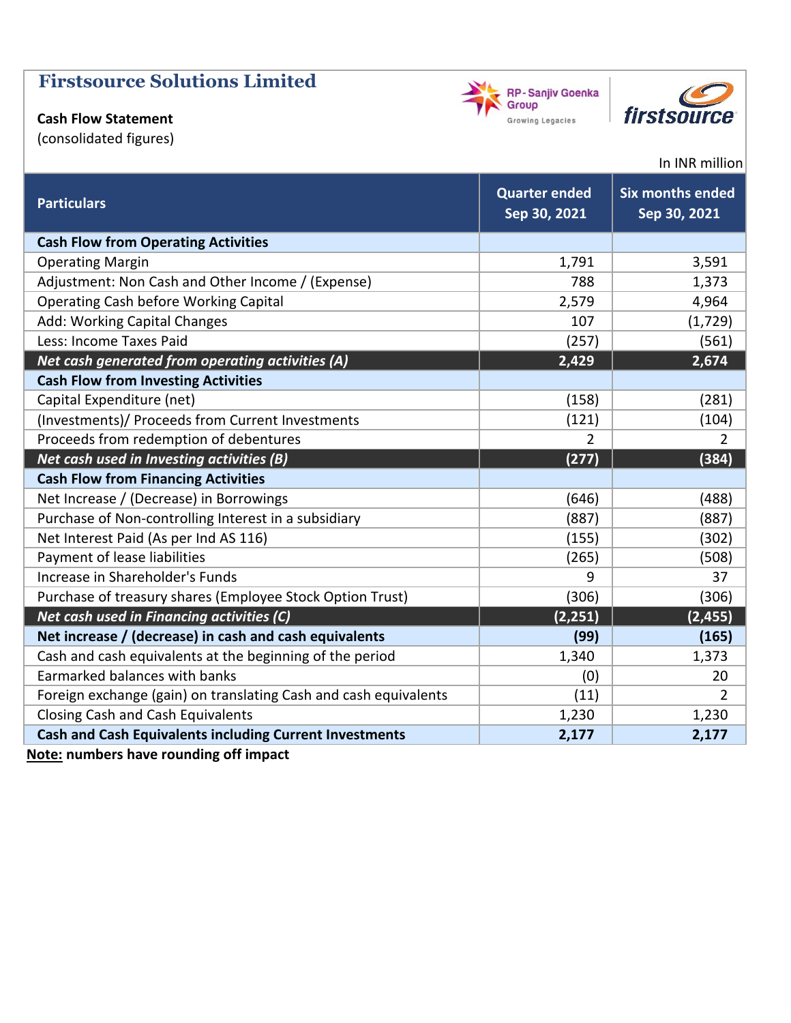# **Cash Flow Statement**

(consolidated figures)





## In INR million

| <b>Particulars</b>                                               | <b>Quarter ended</b><br>Sep 30, 2021 | <b>Six months ended</b><br>Sep 30, 2021 |
|------------------------------------------------------------------|--------------------------------------|-----------------------------------------|
| <b>Cash Flow from Operating Activities</b>                       |                                      |                                         |
| <b>Operating Margin</b>                                          | 1,791                                | 3,591                                   |
| Adjustment: Non Cash and Other Income / (Expense)                | 788                                  | 1,373                                   |
| <b>Operating Cash before Working Capital</b>                     | 2,579                                | 4,964                                   |
| Add: Working Capital Changes                                     | 107                                  | (1, 729)                                |
| Less: Income Taxes Paid                                          | (257)                                | (561)                                   |
| Net cash generated from operating activities (A)                 | 2,429                                | 2,674                                   |
| <b>Cash Flow from Investing Activities</b>                       |                                      |                                         |
| Capital Expenditure (net)                                        | (158)                                | (281)                                   |
| (Investments)/ Proceeds from Current Investments                 | (121)                                | (104)                                   |
| Proceeds from redemption of debentures                           | $\overline{2}$                       | $\overline{2}$                          |
| Net cash used in Investing activities (B)                        | (277)                                | (384)                                   |
| <b>Cash Flow from Financing Activities</b>                       |                                      |                                         |
| Net Increase / (Decrease) in Borrowings                          | (646)                                | (488)                                   |
| Purchase of Non-controlling Interest in a subsidiary             | (887)                                | (887)                                   |
| Net Interest Paid (As per Ind AS 116)                            | (155)                                | (302)                                   |
| Payment of lease liabilities                                     | (265)                                | (508)                                   |
| Increase in Shareholder's Funds                                  | 9                                    | 37                                      |
| Purchase of treasury shares (Employee Stock Option Trust)        | (306)                                | (306)                                   |
| Net cash used in Financing activities (C)                        | (2, 251)                             | (2, 455)                                |
| Net increase / (decrease) in cash and cash equivalents           | (99)                                 | (165)                                   |
| Cash and cash equivalents at the beginning of the period         | 1,340                                | 1,373                                   |
| Earmarked balances with banks                                    | (0)                                  | 20                                      |
| Foreign exchange (gain) on translating Cash and cash equivalents | (11)                                 | $\overline{2}$                          |
| Closing Cash and Cash Equivalents                                | 1,230                                | 1,230                                   |
| <b>Cash and Cash Equivalents including Current Investments</b>   | 2,177                                | 2,177                                   |

**Note: numbers have rounding off impact**